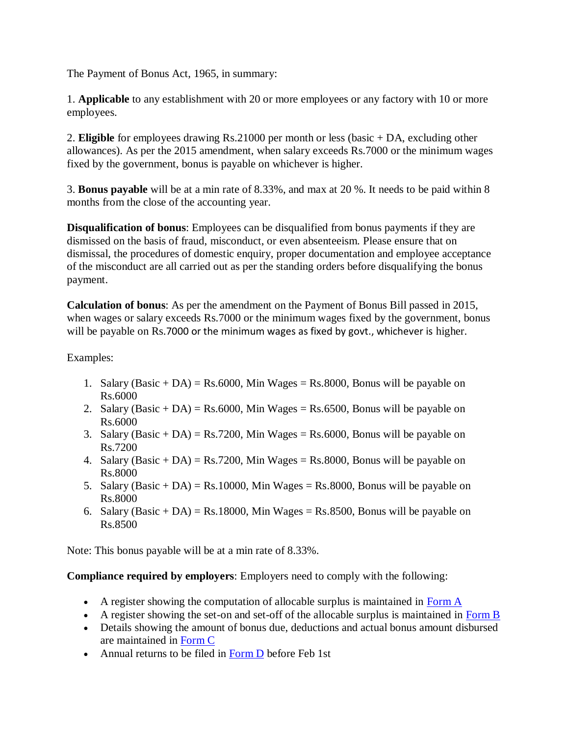The Payment of Bonus Act, 1965, in summary:

1. **Applicable** to any establishment with 20 or more employees or any factory with 10 or more employees.

2. **Eligible** for employees drawing Rs.21000 per month or less (basic + DA, excluding other allowances). As per the 2015 amendment, when salary exceeds Rs.7000 or the minimum wages fixed by the government, bonus is payable on whichever is higher.

3. **Bonus payable** will be at a min rate of 8.33%, and max at 20 %. It needs to be paid within 8 months from the close of the accounting year.

**Disqualification of bonus**: Employees can be disqualified from bonus payments if they are dismissed on the basis of fraud, misconduct, or even absenteeism. Please ensure that on dismissal, the procedures of domestic enquiry, proper documentation and employee acceptance of the misconduct are all carried out as per the standing orders before disqualifying the bonus payment.

**Calculation of bonus**: As per the amendment on the Payment of Bonus Bill passed in 2015, when wages or salary exceeds Rs.7000 or the minimum wages fixed by the government, bonus will be payable on Rs.7000 or the minimum wages as fixed by govt., whichever is higher.

## Examples:

- 1. Salary  $(Basic + DA) = Rs.6000$ , Min Wages = Rs.8000, Bonus will be payable on Rs.6000
- 2. Salary (Basic + DA) = Rs.6000, Min Wages = Rs.6500, Bonus will be payable on Rs.6000
- 3. Salary  $(Basic + DA) = Rs.7200$ , Min Wages = Rs.6000, Bonus will be payable on Rs.7200
- 4. Salary (Basic + DA) = Rs.7200, Min Wages = Rs.8000, Bonus will be payable on Rs.8000
- 5. Salary (Basic + DA) = Rs.10000, Min Wages = Rs.8000, Bonus will be payable on Rs.8000
- 6. Salary (Basic + DA) = Rs.18000, Min Wages = Rs.8500, Bonus will be payable on Rs.8500

Note: This bonus payable will be at a min rate of 8.33%.

## **Compliance required by employers**: Employers need to comply with the following:

- A register showing the computation of allocable surplus is maintained in [Form A](https://www.stacowiki.in/en/acts/st-central/the-payment-of-bonus-act1965/form-computation-allocable-surplus/)
- A register showing the set-on and set-off of the allocable surplus is maintained in [Form B](https://www.stacowiki.in/en/acts/st-central/the-payment-of-bonus-act1965/form-b-set-and-set-allocable-surplus/)
- Details showing the amount of bonus due, deductions and actual bonus amount disbursed are maintained in [Form C](https://www.stacowiki.in/en/acts/st-central/the-payment-of-bonus-act1965/bonus-paid-statement/)
- Annual returns to be filed in [Form D](https://www.stacowiki.in/en/acts/st-central/the-payment-of-bonus-act1965/annual-return-bonus-paid-employees/) before Feb 1st